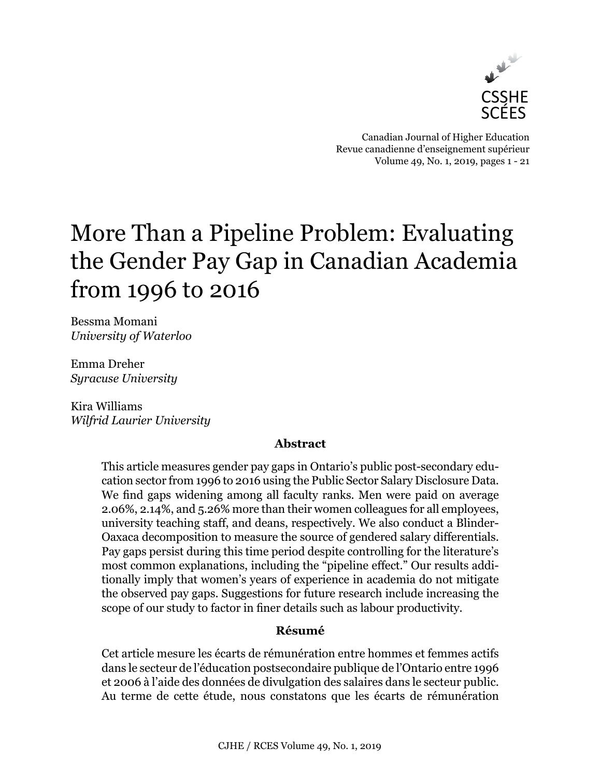

Canadian Journal of Higher Education Revue canadienne d'enseignement supérieur Volume 49, No. 1, 2019, pages 1 - 21

# More Than a Pipeline Problem: Evaluating the Gender Pay Gap in Canadian Academia from 1996 to 2016

Bessma Momani *University of Waterloo*

Emma Dreher *Syracuse University*

Kira Williams *Wilfrid Laurier University*

# **Abstract**

This article measures gender pay gaps in Ontario's public post-secondary education sector from 1996 to 2016 using the Public Sector Salary Disclosure Data. We find gaps widening among all faculty ranks. Men were paid on average 2.06%, 2.14%, and 5.26% more than their women colleagues for all employees, university teaching staff, and deans, respectively. We also conduct a Blinder-Oaxaca decomposition to measure the source of gendered salary differentials. Pay gaps persist during this time period despite controlling for the literature's most common explanations, including the "pipeline effect." Our results additionally imply that women's years of experience in academia do not mitigate the observed pay gaps. Suggestions for future research include increasing the scope of our study to factor in finer details such as labour productivity.

# **Résumé**

Cet article mesure les écarts de rémunération entre hommes et femmes actifs dans le secteur de l'éducation postsecondaire publique de l'Ontario entre 1996 et 2006 à l'aide des données de divulgation des salaires dans le secteur public. Au terme de cette étude, nous constatons que les écarts de rémunération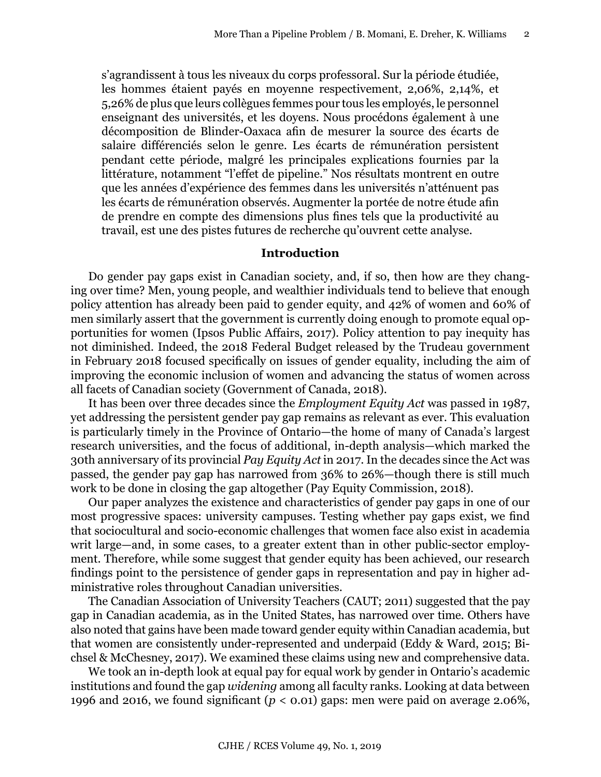s'agrandissent à tous les niveaux du corps professoral. Sur la période étudiée, les hommes étaient payés en moyenne respectivement, 2,06%, 2,14%, et 5,26% de plus que leurs collègues femmes pour tous les employés, le personnel enseignant des universités, et les doyens. Nous procédons également à une décomposition de Blinder-Oaxaca afin de mesurer la source des écarts de salaire différenciés selon le genre. Les écarts de rémunération persistent pendant cette période, malgré les principales explications fournies par la littérature, notamment "l'effet de pipeline." Nos résultats montrent en outre que les années d'expérience des femmes dans les universités n'atténuent pas les écarts de rémunération observés. Augmenter la portée de notre étude afin de prendre en compte des dimensions plus fines tels que la productivité au travail, est une des pistes futures de recherche qu'ouvrent cette analyse.

#### **Introduction**

Do gender pay gaps exist in Canadian society, and, if so, then how are they changing over time? Men, young people, and wealthier individuals tend to believe that enough policy attention has already been paid to gender equity, and 42% of women and 60% of men similarly assert that the government is currently doing enough to promote equal opportunities for women (Ipsos Public Affairs, 2017). Policy attention to pay inequity has not diminished. Indeed, the 2018 Federal Budget released by the Trudeau government in February 2018 focused specifically on issues of gender equality, including the aim of improving the economic inclusion of women and advancing the status of women across all facets of Canadian society (Government of Canada, 2018).

It has been over three decades since the *Employment Equity Act* was passed in 1987, yet addressing the persistent gender pay gap remains as relevant as ever. This evaluation is particularly timely in the Province of Ontario—the home of many of Canada's largest research universities, and the focus of additional, in-depth analysis—which marked the 30th anniversary of its provincial *Pay Equity Act* in 2017. In the decades since the Act was passed, the gender pay gap has narrowed from 36% to 26%—though there is still much work to be done in closing the gap altogether (Pay Equity Commission, 2018).

Our paper analyzes the existence and characteristics of gender pay gaps in one of our most progressive spaces: university campuses. Testing whether pay gaps exist, we find that sociocultural and socio-economic challenges that women face also exist in academia writ large—and, in some cases, to a greater extent than in other public-sector employment. Therefore, while some suggest that gender equity has been achieved, our research findings point to the persistence of gender gaps in representation and pay in higher administrative roles throughout Canadian universities.

The Canadian Association of University Teachers (CAUT; 2011) suggested that the pay gap in Canadian academia, as in the United States, has narrowed over time. Others have also noted that gains have been made toward gender equity within Canadian academia, but that women are consistently under-represented and underpaid (Eddy & Ward, 2015; Bichsel & McChesney, 2017). We examined these claims using new and comprehensive data.

We took an in-depth look at equal pay for equal work by gender in Ontario's academic institutions and found the gap *widening* among all faculty ranks. Looking at data between 1996 and 2016, we found significant ( $p < 0.01$ ) gaps: men were paid on average 2.06%,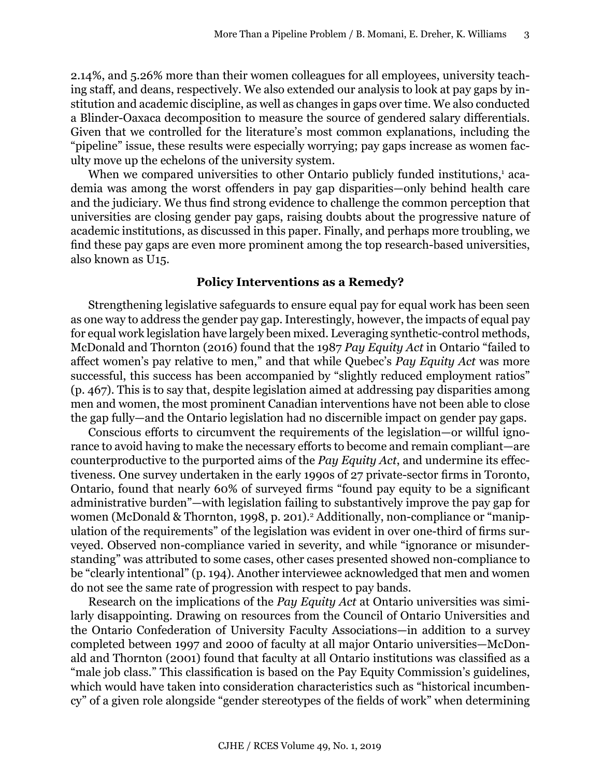2.14%, and 5.26% more than their women colleagues for all employees, university teaching staff, and deans, respectively. We also extended our analysis to look at pay gaps by institution and academic discipline, as well as changes in gaps over time. We also conducted a Blinder-Oaxaca decomposition to measure the source of gendered salary differentials. Given that we controlled for the literature's most common explanations, including the "pipeline" issue, these results were especially worrying; pay gaps increase as women faculty move up the echelons of the university system.

When we compared universities to other Ontario publicly funded institutions,<sup>1</sup> academia was among the worst offenders in pay gap disparities—only behind health care and the judiciary. We thus find strong evidence to challenge the common perception that universities are closing gender pay gaps, raising doubts about the progressive nature of academic institutions, as discussed in this paper. Finally, and perhaps more troubling, we find these pay gaps are even more prominent among the top research-based universities, also known as U15.

#### **Policy Interventions as a Remedy?**

Strengthening legislative safeguards to ensure equal pay for equal work has been seen as one way to address the gender pay gap. Interestingly, however, the impacts of equal pay for equal work legislation have largely been mixed. Leveraging synthetic-control methods, McDonald and Thornton (2016) found that the 1987 *Pay Equity Act* in Ontario "failed to affect women's pay relative to men," and that while Quebec's *Pay Equity Act* was more successful, this success has been accompanied by "slightly reduced employment ratios" (p. 467). This is to say that, despite legislation aimed at addressing pay disparities among men and women, the most prominent Canadian interventions have not been able to close the gap fully—and the Ontario legislation had no discernible impact on gender pay gaps.

Conscious efforts to circumvent the requirements of the legislation—or willful ignorance to avoid having to make the necessary efforts to become and remain compliant—are counterproductive to the purported aims of the *Pay Equity Act*, and undermine its effectiveness. One survey undertaken in the early 1990s of 27 private-sector firms in Toronto, Ontario, found that nearly 60% of surveyed firms "found pay equity to be a significant administrative burden"—with legislation failing to substantively improve the pay gap for women (McDonald & Thornton, 1998, p. 201).<sup>2</sup> Additionally, non-compliance or "manipulation of the requirements" of the legislation was evident in over one-third of firms surveyed. Observed non-compliance varied in severity, and while "ignorance or misunderstanding" was attributed to some cases, other cases presented showed non-compliance to be "clearly intentional" (p. 194). Another interviewee acknowledged that men and women do not see the same rate of progression with respect to pay bands.

Research on the implications of the *Pay Equity Act* at Ontario universities was similarly disappointing. Drawing on resources from the Council of Ontario Universities and the Ontario Confederation of University Faculty Associations—in addition to a survey completed between 1997 and 2000 of faculty at all major Ontario universities—McDonald and Thornton (2001) found that faculty at all Ontario institutions was classified as a "male job class." This classification is based on the Pay Equity Commission's guidelines, which would have taken into consideration characteristics such as "historical incumbency" of a given role alongside "gender stereotypes of the fields of work" when determining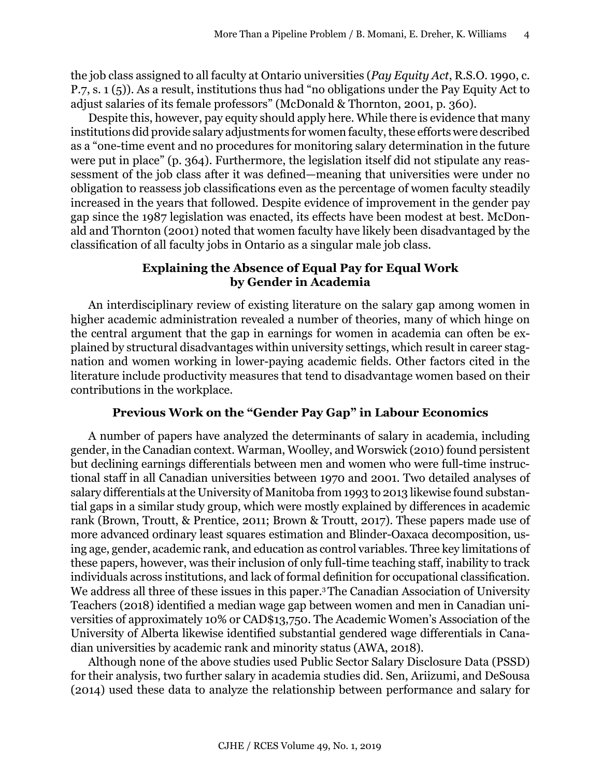the job class assigned to all faculty at Ontario universities (*Pay Equity Act*, R.S.O. 1990, c. P.7, s. 1 (5)). As a result, institutions thus had "no obligations under the Pay Equity Act to adjust salaries of its female professors" (McDonald & Thornton, 2001, p. 360).

Despite this, however, pay equity should apply here. While there is evidence that many institutions did provide salary adjustments for women faculty, these efforts were described as a "one-time event and no procedures for monitoring salary determination in the future were put in place" (p. 364). Furthermore, the legislation itself did not stipulate any reassessment of the job class after it was defined—meaning that universities were under no obligation to reassess job classifications even as the percentage of women faculty steadily increased in the years that followed. Despite evidence of improvement in the gender pay gap since the 1987 legislation was enacted, its effects have been modest at best. McDonald and Thornton (2001) noted that women faculty have likely been disadvantaged by the classification of all faculty jobs in Ontario as a singular male job class.

# **Explaining the Absence of Equal Pay for Equal Work by Gender in Academia**

An interdisciplinary review of existing literature on the salary gap among women in higher academic administration revealed a number of theories, many of which hinge on the central argument that the gap in earnings for women in academia can often be explained by structural disadvantages within university settings, which result in career stagnation and women working in lower-paying academic fields. Other factors cited in the literature include productivity measures that tend to disadvantage women based on their contributions in the workplace.

# **Previous Work on the "Gender Pay Gap" in Labour Economics**

A number of papers have analyzed the determinants of salary in academia, including gender, in the Canadian context. Warman, Woolley, and Worswick (2010) found persistent but declining earnings differentials between men and women who were full-time instructional staff in all Canadian universities between 1970 and 2001. Two detailed analyses of salary differentials at the University of Manitoba from 1993 to 2013 likewise found substantial gaps in a similar study group, which were mostly explained by differences in academic rank (Brown, Troutt, & Prentice, 2011; Brown & Troutt, 2017). These papers made use of more advanced ordinary least squares estimation and Blinder-Oaxaca decomposition, using age, gender, academic rank, and education as control variables. Three key limitations of these papers, however, was their inclusion of only full-time teaching staff, inability to track individuals across institutions, and lack of formal definition for occupational classification. We address all three of these issues in this paper.<sup>3</sup> The Canadian Association of University Teachers (2018) identified a median wage gap between women and men in Canadian universities of approximately 10% or CAD\$13,750. The Academic Women's Association of the University of Alberta likewise identified substantial gendered wage differentials in Canadian universities by academic rank and minority status (AWA, 2018).

Although none of the above studies used Public Sector Salary Disclosure Data (PSSD) for their analysis, two further salary in academia studies did. Sen, Ariizumi, and DeSousa (2014) used these data to analyze the relationship between performance and salary for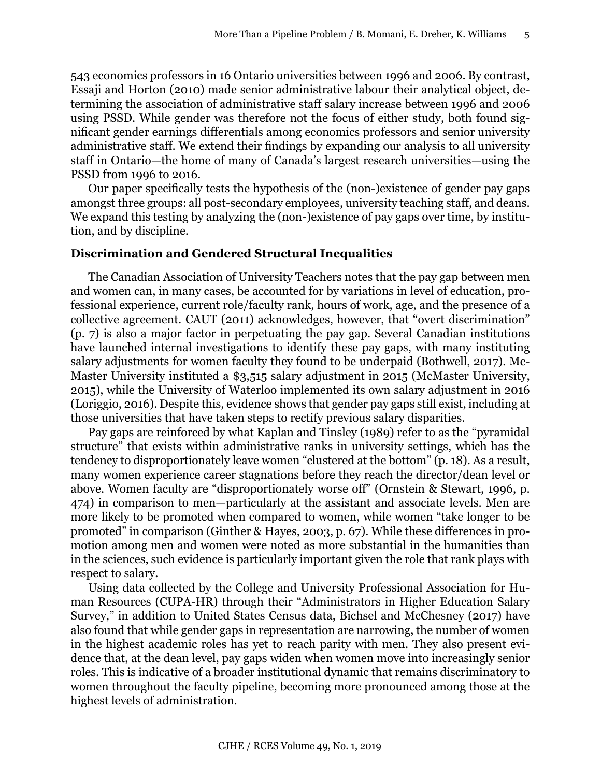543 economics professors in 16 Ontario universities between 1996 and 2006. By contrast, Essaji and Horton (2010) made senior administrative labour their analytical object, determining the association of administrative staff salary increase between 1996 and 2006 using PSSD. While gender was therefore not the focus of either study, both found significant gender earnings differentials among economics professors and senior university administrative staff. We extend their findings by expanding our analysis to all university staff in Ontario—the home of many of Canada's largest research universities—using the PSSD from 1996 to 2016.

Our paper specifically tests the hypothesis of the (non-)existence of gender pay gaps amongst three groups: all post-secondary employees, university teaching staff, and deans. We expand this testing by analyzing the (non-)existence of pay gaps over time, by institution, and by discipline.

## **Discrimination and Gendered Structural Inequalities**

The Canadian Association of University Teachers notes that the pay gap between men and women can, in many cases, be accounted for by variations in level of education, professional experience, current role/faculty rank, hours of work, age, and the presence of a collective agreement. CAUT (2011) acknowledges, however, that "overt discrimination" (p. 7) is also a major factor in perpetuating the pay gap. Several Canadian institutions have launched internal investigations to identify these pay gaps, with many instituting salary adjustments for women faculty they found to be underpaid (Bothwell, 2017). Mc-Master University instituted a \$3,515 salary adjustment in 2015 (McMaster University, 2015), while the University of Waterloo implemented its own salary adjustment in 2016 (Loriggio, 2016). Despite this, evidence shows that gender pay gaps still exist, including at those universities that have taken steps to rectify previous salary disparities.

Pay gaps are reinforced by what Kaplan and Tinsley (1989) refer to as the "pyramidal structure" that exists within administrative ranks in university settings, which has the tendency to disproportionately leave women "clustered at the bottom" (p. 18). As a result, many women experience career stagnations before they reach the director/dean level or above. Women faculty are "disproportionately worse off" (Ornstein & Stewart, 1996, p. 474) in comparison to men—particularly at the assistant and associate levels. Men are more likely to be promoted when compared to women, while women "take longer to be promoted" in comparison (Ginther & Hayes, 2003, p. 67). While these differences in promotion among men and women were noted as more substantial in the humanities than in the sciences, such evidence is particularly important given the role that rank plays with respect to salary.

Using data collected by the College and University Professional Association for Human Resources (CUPA-HR) through their "Administrators in Higher Education Salary Survey," in addition to United States Census data, Bichsel and McChesney (2017) have also found that while gender gaps in representation are narrowing, the number of women in the highest academic roles has yet to reach parity with men. They also present evidence that, at the dean level, pay gaps widen when women move into increasingly senior roles. This is indicative of a broader institutional dynamic that remains discriminatory to women throughout the faculty pipeline, becoming more pronounced among those at the highest levels of administration.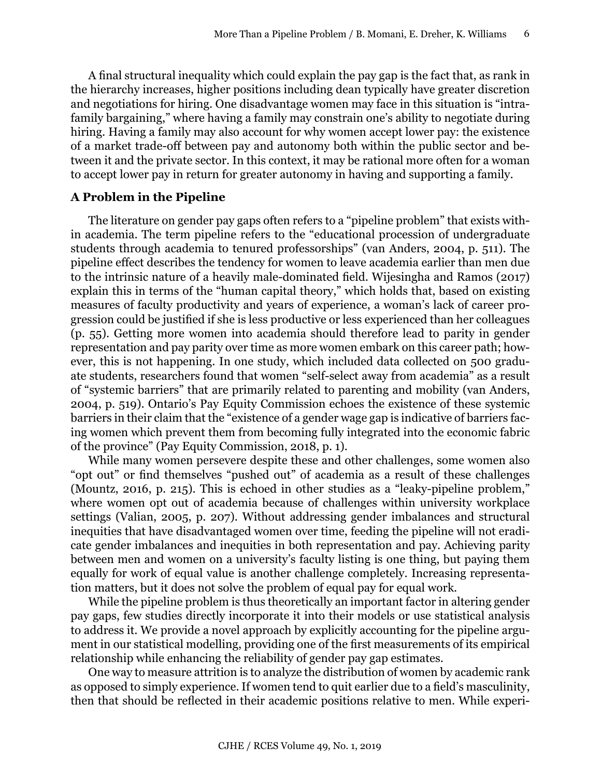A final structural inequality which could explain the pay gap is the fact that, as rank in the hierarchy increases, higher positions including dean typically have greater discretion and negotiations for hiring. One disadvantage women may face in this situation is "intrafamily bargaining," where having a family may constrain one's ability to negotiate during hiring. Having a family may also account for why women accept lower pay: the existence of a market trade-off between pay and autonomy both within the public sector and between it and the private sector. In this context, it may be rational more often for a woman to accept lower pay in return for greater autonomy in having and supporting a family.

## **A Problem in the Pipeline**

The literature on gender pay gaps often refers to a "pipeline problem" that exists within academia. The term pipeline refers to the "educational procession of undergraduate students through academia to tenured professorships" (van Anders, 2004, p. 511). The pipeline effect describes the tendency for women to leave academia earlier than men due to the intrinsic nature of a heavily male-dominated field. Wijesingha and Ramos (2017) explain this in terms of the "human capital theory," which holds that, based on existing measures of faculty productivity and years of experience, a woman's lack of career progression could be justified if she is less productive or less experienced than her colleagues (p. 55). Getting more women into academia should therefore lead to parity in gender representation and pay parity over time as more women embark on this career path; however, this is not happening. In one study, which included data collected on 500 graduate students, researchers found that women "self-select away from academia" as a result of "systemic barriers" that are primarily related to parenting and mobility (van Anders, 2004, p. 519). Ontario's Pay Equity Commission echoes the existence of these systemic barriers in their claim that the "existence of a gender wage gap is indicative of barriers facing women which prevent them from becoming fully integrated into the economic fabric of the province" (Pay Equity Commission, 2018, p. 1).

While many women persevere despite these and other challenges, some women also "opt out" or find themselves "pushed out" of academia as a result of these challenges (Mountz, 2016, p. 215). This is echoed in other studies as a "leaky-pipeline problem," where women opt out of academia because of challenges within university workplace settings (Valian, 2005, p. 207). Without addressing gender imbalances and structural inequities that have disadvantaged women over time, feeding the pipeline will not eradicate gender imbalances and inequities in both representation and pay. Achieving parity between men and women on a university's faculty listing is one thing, but paying them equally for work of equal value is another challenge completely. Increasing representation matters, but it does not solve the problem of equal pay for equal work.

While the pipeline problem is thus theoretically an important factor in altering gender pay gaps, few studies directly incorporate it into their models or use statistical analysis to address it. We provide a novel approach by explicitly accounting for the pipeline argument in our statistical modelling, providing one of the first measurements of its empirical relationship while enhancing the reliability of gender pay gap estimates.

One way to measure attrition is to analyze the distribution of women by academic rank as opposed to simply experience. If women tend to quit earlier due to a field's masculinity, then that should be reflected in their academic positions relative to men. While experi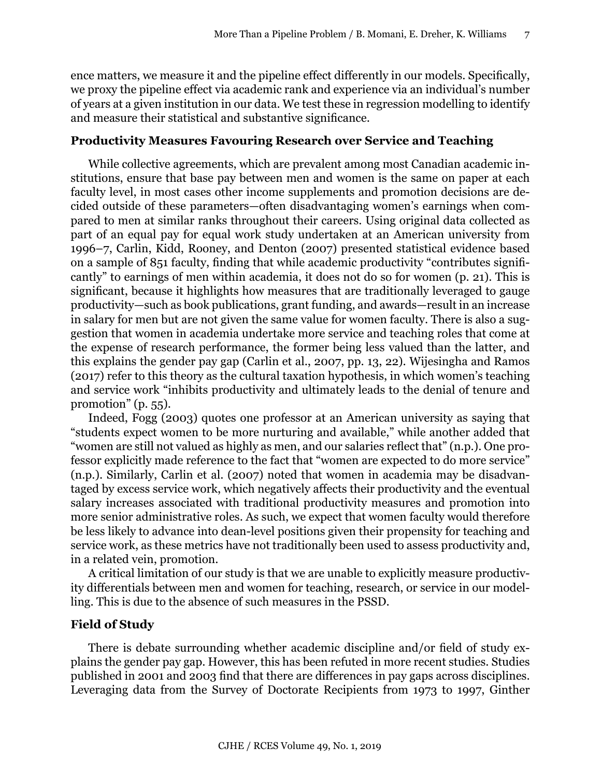ence matters, we measure it and the pipeline effect differently in our models. Specifically, we proxy the pipeline effect via academic rank and experience via an individual's number of years at a given institution in our data. We test these in regression modelling to identify and measure their statistical and substantive significance.

## **Productivity Measures Favouring Research over Service and Teaching**

While collective agreements, which are prevalent among most Canadian academic institutions, ensure that base pay between men and women is the same on paper at each faculty level, in most cases other income supplements and promotion decisions are decided outside of these parameters—often disadvantaging women's earnings when compared to men at similar ranks throughout their careers. Using original data collected as part of an equal pay for equal work study undertaken at an American university from 1996–7, Carlin, Kidd, Rooney, and Denton (2007) presented statistical evidence based on a sample of 851 faculty, finding that while academic productivity "contributes significantly" to earnings of men within academia, it does not do so for women (p. 21). This is significant, because it highlights how measures that are traditionally leveraged to gauge productivity—such as book publications, grant funding, and awards—result in an increase in salary for men but are not given the same value for women faculty. There is also a suggestion that women in academia undertake more service and teaching roles that come at the expense of research performance, the former being less valued than the latter, and this explains the gender pay gap (Carlin et al., 2007, pp. 13, 22). Wijesingha and Ramos (2017) refer to this theory as the cultural taxation hypothesis, in which women's teaching and service work "inhibits productivity and ultimately leads to the denial of tenure and promotion" (p. 55).

Indeed, Fogg (2003) quotes one professor at an American university as saying that "students expect women to be more nurturing and available," while another added that "women are still not valued as highly as men, and our salaries reflect that" (n.p.). One professor explicitly made reference to the fact that "women are expected to do more service" (n.p.). Similarly, Carlin et al. (2007) noted that women in academia may be disadvantaged by excess service work, which negatively affects their productivity and the eventual salary increases associated with traditional productivity measures and promotion into more senior administrative roles. As such, we expect that women faculty would therefore be less likely to advance into dean-level positions given their propensity for teaching and service work, as these metrics have not traditionally been used to assess productivity and, in a related vein, promotion.

A critical limitation of our study is that we are unable to explicitly measure productivity differentials between men and women for teaching, research, or service in our modelling. This is due to the absence of such measures in the PSSD.

# **Field of Study**

There is debate surrounding whether academic discipline and/or field of study explains the gender pay gap. However, this has been refuted in more recent studies. Studies published in 2001 and 2003 find that there are differences in pay gaps across disciplines. Leveraging data from the Survey of Doctorate Recipients from 1973 to 1997, Ginther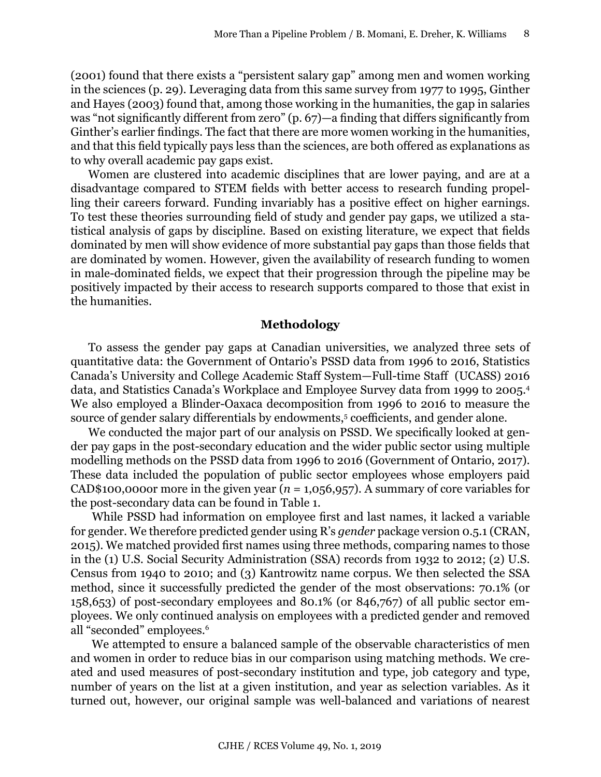(2001) found that there exists a "persistent salary gap" among men and women working in the sciences (p. 29). Leveraging data from this same survey from 1977 to 1995, Ginther and Hayes (2003) found that, among those working in the humanities, the gap in salaries was "not significantly different from zero" (p. 67)—a finding that differs significantly from Ginther's earlier findings. The fact that there are more women working in the humanities, and that this field typically pays less than the sciences, are both offered as explanations as to why overall academic pay gaps exist.

Women are clustered into academic disciplines that are lower paying, and are at a disadvantage compared to STEM fields with better access to research funding propelling their careers forward. Funding invariably has a positive effect on higher earnings. To test these theories surrounding field of study and gender pay gaps, we utilized a statistical analysis of gaps by discipline. Based on existing literature, we expect that fields dominated by men will show evidence of more substantial pay gaps than those fields that are dominated by women. However, given the availability of research funding to women in male-dominated fields, we expect that their progression through the pipeline may be positively impacted by their access to research supports compared to those that exist in the humanities.

#### **Methodology**

To assess the gender pay gaps at Canadian universities, we analyzed three sets of quantitative data: the Government of Ontario's PSSD data from 1996 to 2016, Statistics Canada's University and College Academic Staff System—Full-time Staff (UCASS) 2016 data, and Statistics Canada's Workplace and Employee Survey data from 1999 to 2005.<sup>4</sup> We also employed a Blinder-Oaxaca decomposition from 1996 to 2016 to measure the source of gender salary differentials by endowments,<sup>5</sup> coefficients, and gender alone.

We conducted the major part of our analysis on PSSD. We specifically looked at gender pay gaps in the post-secondary education and the wider public sector using multiple modelling methods on the PSSD data from 1996 to 2016 (Government of Ontario, 2017). These data included the population of public sector employees whose employers paid CAD\$100,0000r more in the given year ( $n = 1,056,957$ ). A summary of core variables for the post-secondary data can be found in Table 1.

 While PSSD had information on employee first and last names, it lacked a variable for gender. We therefore predicted gender using R's *gender* package version 0.5.1 (CRAN, 2015). We matched provided first names using three methods, comparing names to those in the (1) U.S. Social Security Administration (SSA) records from 1932 to 2012; (2) U.S. Census from 1940 to 2010; and (3) Kantrowitz name corpus. We then selected the SSA method, since it successfully predicted the gender of the most observations: 70.1% (or 158,653) of post-secondary employees and 80.1% (or 846,767) of all public sector employees. We only continued analysis on employees with a predicted gender and removed all "seconded" employees.<sup>6</sup>

 We attempted to ensure a balanced sample of the observable characteristics of men and women in order to reduce bias in our comparison using matching methods. We created and used measures of post-secondary institution and type, job category and type, number of years on the list at a given institution, and year as selection variables. As it turned out, however, our original sample was well-balanced and variations of nearest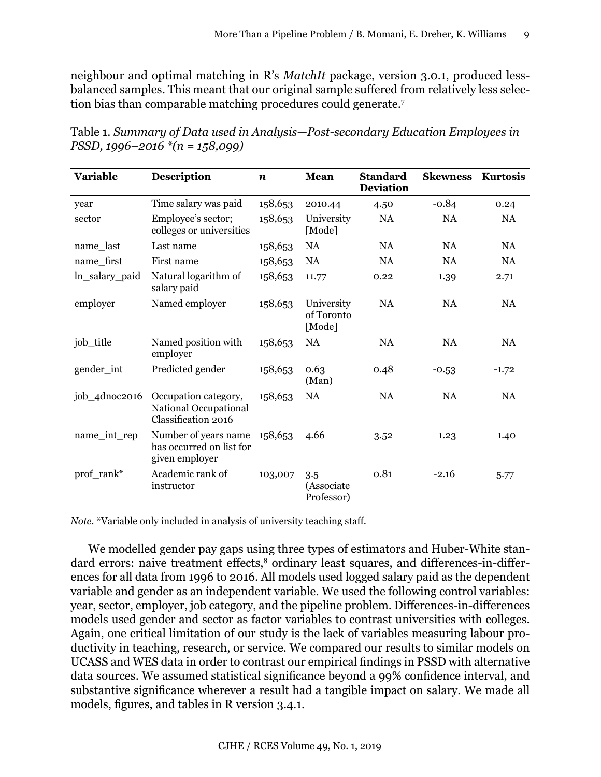neighbour and optimal matching in R's *MatchIt* package, version 3.0.1, produced lessbalanced samples. This meant that our original sample suffered from relatively less selection bias than comparable matching procedures could generate.<sup>7</sup>

| <b>Variable</b> | <b>Description</b>                                                   | $\boldsymbol{n}$ | Mean                               | <b>Standard</b><br><b>Deviation</b> | <b>Skewness</b> | <b>Kurtosis</b> |
|-----------------|----------------------------------------------------------------------|------------------|------------------------------------|-------------------------------------|-----------------|-----------------|
| year            | Time salary was paid                                                 | 158,653          | 2010.44                            | 4.50                                | $-0.84$         | 0.24            |
| sector          | Employee's sector;<br>colleges or universities                       | 158,653          | University<br>[Mode]               | <b>NA</b>                           | NA              | <b>NA</b>       |
| name_last       | Last name                                                            | 158,653          | NA                                 | NA                                  | <b>NA</b>       | <b>NA</b>       |
| name first      | First name                                                           | 158,653          | <b>NA</b>                          | <b>NA</b>                           | <b>NA</b>       | <b>NA</b>       |
| ln_salary_paid  | Natural logarithm of<br>salary paid                                  | 158,653          | 11.77                              | 0.22                                | 1.39            | 2.71            |
| employer        | Named employer                                                       | 158,653          | University<br>of Toronto<br>[Mode] | NA                                  | <b>NA</b>       | <b>NA</b>       |
| job_title       | Named position with<br>employer                                      | 158,653          | <b>NA</b>                          | <b>NA</b>                           | <b>NA</b>       | <b>NA</b>       |
| gender_int      | Predicted gender                                                     | 158,653          | 0.63<br>(Man)                      | 0.48                                | $-0.53$         | $-1.72$         |
| job_4dnoc2016   | Occupation category,<br>National Occupational<br>Classification 2016 | 158,653          | <b>NA</b>                          | <b>NA</b>                           | <b>NA</b>       | <b>NA</b>       |
| name_int_rep    | Number of years name<br>has occurred on list for<br>given employer   | 158,653          | 4.66                               | 3.52                                | 1.23            | 1.40            |
| prof_rank*      | Academic rank of<br>instructor                                       | 103,007          | 3.5<br>(Associate<br>Professor)    | 0.81                                | $-2.16$         | 5.77            |

Table 1. *Summary of Data used in Analysis—Post-secondary Education Employees in PSSD, 1996–2016 \*(n = 158,099)*

*Note.* \*Variable only included in analysis of university teaching staff.

We modelled gender pay gaps using three types of estimators and Huber-White standard errors: naive treatment effects,<sup>8</sup> ordinary least squares, and differences-in-differences for all data from 1996 to 2016. All models used logged salary paid as the dependent variable and gender as an independent variable. We used the following control variables: year, sector, employer, job category, and the pipeline problem. Differences-in-differences models used gender and sector as factor variables to contrast universities with colleges. Again, one critical limitation of our study is the lack of variables measuring labour productivity in teaching, research, or service. We compared our results to similar models on UCASS and WES data in order to contrast our empirical findings in PSSD with alternative data sources. We assumed statistical significance beyond a 99% confidence interval, and substantive significance wherever a result had a tangible impact on salary. We made all models, figures, and tables in R version 3.4.1.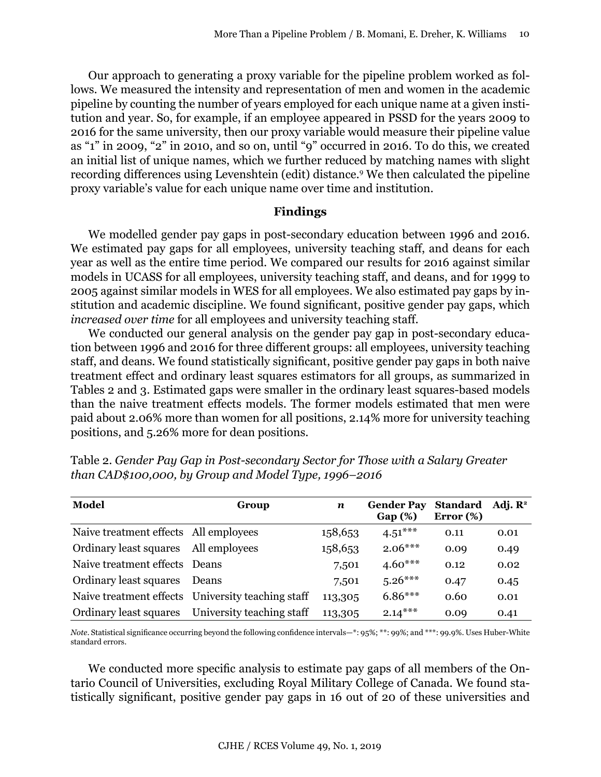Our approach to generating a proxy variable for the pipeline problem worked as follows. We measured the intensity and representation of men and women in the academic pipeline by counting the number of years employed for each unique name at a given institution and year. So, for example, if an employee appeared in PSSD for the years 2009 to 2016 for the same university, then our proxy variable would measure their pipeline value as "1" in 2009, "2" in 2010, and so on, until "9" occurred in 2016. To do this, we created an initial list of unique names, which we further reduced by matching names with slight recording differences using Levenshtein (edit) distance.<sup>9</sup> We then calculated the pipeline proxy variable's value for each unique name over time and institution.

## **Findings**

We modelled gender pay gaps in post-secondary education between 1996 and 2016. We estimated pay gaps for all employees, university teaching staff, and deans for each year as well as the entire time period. We compared our results for 2016 against similar models in UCASS for all employees, university teaching staff, and deans, and for 1999 to 2005 against similar models in WES for all employees. We also estimated pay gaps by institution and academic discipline. We found significant, positive gender pay gaps, which *increased over time* for all employees and university teaching staff.

We conducted our general analysis on the gender pay gap in post-secondary education between 1996 and 2016 for three different groups: all employees, university teaching staff, and deans. We found statistically significant, positive gender pay gaps in both naive treatment effect and ordinary least squares estimators for all groups, as summarized in Tables 2 and 3. Estimated gaps were smaller in the ordinary least squares-based models than the naive treatment effects models. The former models estimated that men were paid about 2.06% more than women for all positions, 2.14% more for university teaching positions, and 5.26% more for dean positions.

| Model                                 | Group                                             | $\boldsymbol{n}$ | <b>Gender Pay</b><br>Gap(%) | <b>Standard</b><br>Error $(\%)$ | Adj. $\mathbb{R}^2$ |
|---------------------------------------|---------------------------------------------------|------------------|-----------------------------|---------------------------------|---------------------|
| Naive treatment effects All employees |                                                   | 158,653          | $4.51***$                   | 0.11                            | 0.01                |
| Ordinary least squares All employees  |                                                   | 158,653          | $2.06***$                   | 0.09                            | 0.49                |
| Naive treatment effects Deans         |                                                   | 7,501            | $4.60***$                   | 0.12                            | 0.02                |
| Ordinary least squares                | <b>Deans</b>                                      | 7,501            | $5.26***$                   | 0.47                            | 0.45                |
|                                       | Naive treatment effects University teaching staff | 113,305          | $6.86***$                   | 0.60                            | 0.01                |
| Ordinary least squares                | University teaching staff                         | 113,305          | $2.14***$                   | 0.09                            | 0.41                |

Table 2. *Gender Pay Gap in Post-secondary Sector for Those with a Salary Greater than CAD\$100,000, by Group and Model Type, 1996–2016*

*Note*. Statistical significance occurring beyond the following confidence intervals—\*: 95%; \*\*: 99%; and \*\*\*: 99.9%. Uses Huber-White standard errors.

We conducted more specific analysis to estimate pay gaps of all members of the Ontario Council of Universities, excluding Royal Military College of Canada. We found statistically significant, positive gender pay gaps in 16 out of 20 of these universities and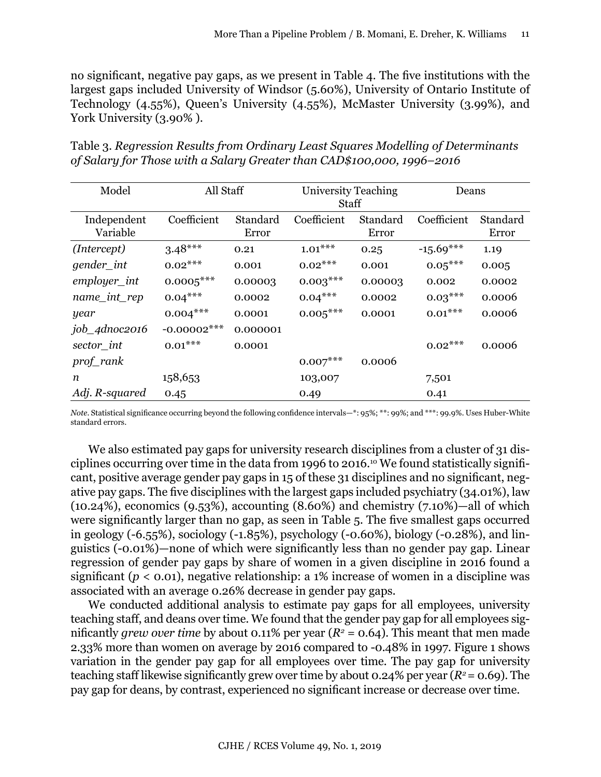no significant, negative pay gaps, as we present in Table 4. The five institutions with the largest gaps included University of Windsor (5.60%), University of Ontario Institute of Technology (4.55%), Queen's University (4.55%), McMaster University (3.99%), and York University (3.90%).

Table 3. *Regression Results from Ordinary Least Squares Modelling of Determinants of Salary for Those with a Salary Greater than CAD\$100,000, 1996–2016*

| Model                   | All Staff      |                   | University Teaching<br><b>Staff</b> |                   | Deans       |                   |
|-------------------------|----------------|-------------------|-------------------------------------|-------------------|-------------|-------------------|
| Independent<br>Variable | Coefficient    | Standard<br>Error | Coefficient                         | Standard<br>Error | Coefficient | Standard<br>Error |
| (Intercept)             | $3.48***$      | 0.21              | $1.01***$                           | 0.25              | $-15.69***$ | 1.19              |
| gender_int              | $0.02***$      | 0.001             | $0.02***$                           | 0.001             | $0.05***$   | 0.005             |
| $emplayer\_int$         | $0.0005***$    | 0.00003           | $0.003***$                          | 0.00003           | 0.002       | 0.0002            |
| name_int_rep            | $0.04***$      | 0.0002            | $0.04***$                           | 0.0002            | $0.03***$   | 0.0006            |
| year                    | $0.004***$     | 0.0001            | $0.005***$                          | 0.0001            | $0.01***$   | 0.0006            |
| job_4dnoc2016           | $-0.00002$ *** | 0.000001          |                                     |                   |             |                   |
| sector_int              | $0.01***$      | 0.0001            |                                     |                   | $0.02***$   | 0.0006            |
| prof_rank               |                |                   | $0.007$ ***                         | 0.0006            |             |                   |
| n                       | 158,653        |                   | 103,007                             |                   | 7,501       |                   |
| Adj. R-squared          | 0.45           |                   | 0.49                                |                   | 0.41        |                   |

*Note.* Statistical significance occurring beyond the following confidence intervals—\*: 95%; \*\*: 99%; and \*\*\*: 99.9%. Uses Huber-White standard errors.

We also estimated pay gaps for university research disciplines from a cluster of 31 disciplines occurring over time in the data from 1996 to 2016.10 We found statistically significant, positive average gender pay gaps in 15 of these 31 disciplines and no significant, negative pay gaps. The five disciplines with the largest gaps included psychiatry (34.01%), law (10.24%), economics (9.53%), accounting (8.60%) and chemistry (7.10%)—all of which were significantly larger than no gap, as seen in Table 5. The five smallest gaps occurred in geology (-6.55%), sociology (-1.85%), psychology (-0.60%), biology (-0.28%), and linguistics (-0.01%)—none of which were significantly less than no gender pay gap. Linear regression of gender pay gaps by share of women in a given discipline in 2016 found a significant ( $p < 0.01$ ), negative relationship: a 1% increase of women in a discipline was associated with an average 0.26% decrease in gender pay gaps.

We conducted additional analysis to estimate pay gaps for all employees, university teaching staff, and deans over time. We found that the gender pay gap for all employees significantly *grew over time* by about 0.11% per year  $(R^2 = 0.64)$ . This meant that men made 2.33% more than women on average by 2016 compared to -0.48% in 1997. Figure 1 shows variation in the gender pay gap for all employees over time. The pay gap for university teaching staff likewise significantly grew over time by about 0.24% per year  $(R^2 = 0.69)$ . The pay gap for deans, by contrast, experienced no significant increase or decrease over time.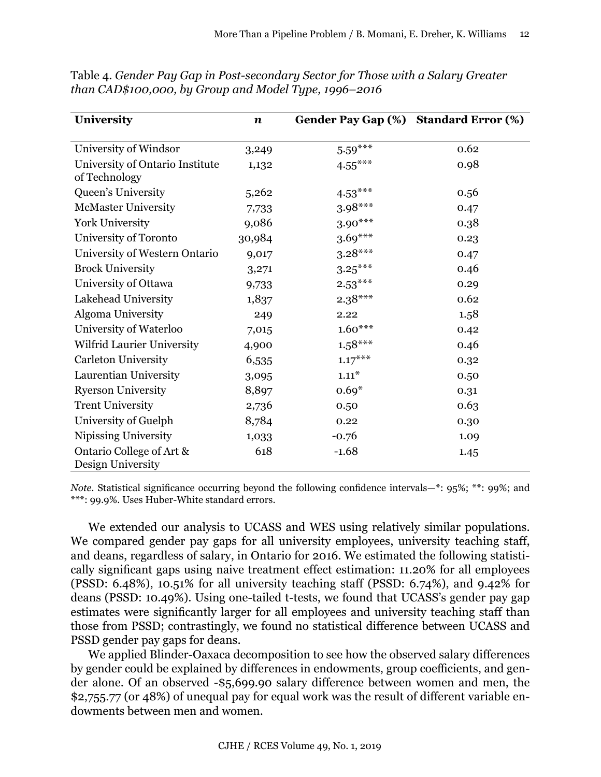| University                                       | $\boldsymbol{n}$ | Gender Pay Gap (%) Standard Error (%) |      |
|--------------------------------------------------|------------------|---------------------------------------|------|
| University of Windsor                            | 3,249            | $5.59***$                             | 0.62 |
| University of Ontario Institute<br>of Technology | 1,132            | $4.55***$                             | 0.98 |
| Queen's University                               | 5,262            | $4.53***$                             | 0.56 |
| <b>McMaster University</b>                       | 7,733            | $3.98***$                             | 0.47 |
| <b>York University</b>                           | 9,086            | $3.90***$                             | 0.38 |
| University of Toronto                            | 30,984           | $3.69***$                             | 0.23 |
| University of Western Ontario                    | 9,017            | $3.28***$                             | 0.47 |
| <b>Brock University</b>                          | 3,271            | $3.25***$                             | 0.46 |
| University of Ottawa                             | 9,733            | $2.53***$                             | 0.29 |
| Lakehead University                              | 1,837            | $2.38***$                             | 0.62 |
| <b>Algoma University</b>                         | 249              | 2.22                                  | 1.58 |
| University of Waterloo                           | 7,015            | $1.60***$                             | 0.42 |
| Wilfrid Laurier University                       | 4,900            | $1.58***$                             | 0.46 |
| <b>Carleton University</b>                       | 6,535            | $1.17***$                             | 0.32 |
| Laurentian University                            | 3,095            | $1.11*$                               | 0.50 |
| <b>Ryerson University</b>                        | 8,897            | $0.69*$                               | 0.31 |
| <b>Trent University</b>                          | 2,736            | 0.50                                  | 0.63 |
| University of Guelph                             | 8,784            | 0.22                                  | 0.30 |
| Nipissing University                             | 1,033            | $-0.76$                               | 1.09 |
| Ontario College of Art &<br>Design University    | 618              | $-1.68$                               | 1.45 |

Table 4. *Gender Pay Gap in Post-secondary Sector for Those with a Salary Greater than CAD\$100,000, by Group and Model Type, 1996–2016*

*Note.* Statistical significance occurring beyond the following confidence intervals—\*:  $95\%$ ; \*\*:  $99\%$ ; and \*\*\*: 99.9%. Uses Huber-White standard errors.

We extended our analysis to UCASS and WES using relatively similar populations. We compared gender pay gaps for all university employees, university teaching staff, and deans, regardless of salary, in Ontario for 2016. We estimated the following statistically significant gaps using naive treatment effect estimation: 11.20% for all employees (PSSD: 6.48%), 10.51% for all university teaching staff (PSSD: 6.74%), and 9.42% for deans (PSSD: 10.49%). Using one-tailed t-tests, we found that UCASS's gender pay gap estimates were significantly larger for all employees and university teaching staff than those from PSSD; contrastingly, we found no statistical difference between UCASS and PSSD gender pay gaps for deans.

We applied Blinder-Oaxaca decomposition to see how the observed salary differences by gender could be explained by differences in endowments, group coefficients, and gender alone. Of an observed -\$5,699.90 salary difference between women and men, the \$2,755.77 (or 48%) of unequal pay for equal work was the result of different variable endowments between men and women.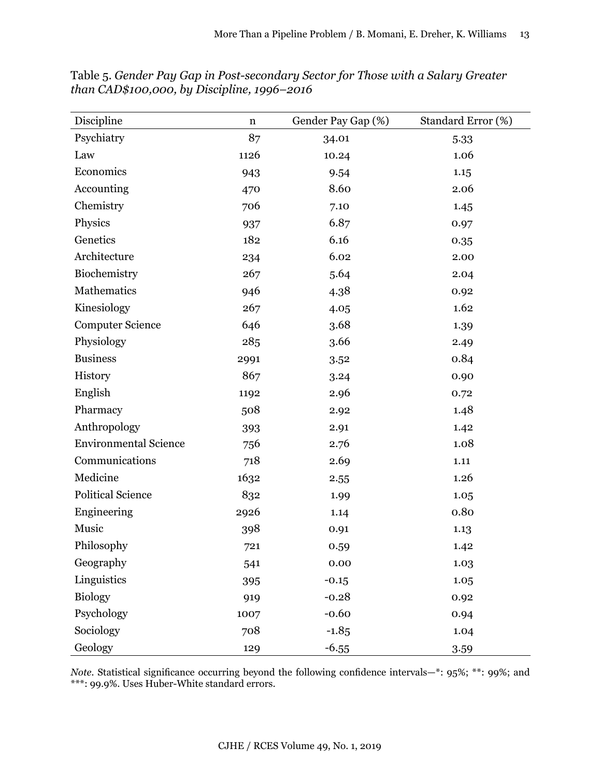| Discipline                   | $\mathbf n$ | Gender Pay Gap (%) | Standard Error (%) |
|------------------------------|-------------|--------------------|--------------------|
| Psychiatry                   | 87          | 34.01              | 5.33               |
| Law                          | 1126        | 10.24              | 1.06               |
| Economics                    | 943         | 9.54               | 1.15               |
| Accounting                   | 470         | 8.60               | 2.06               |
| Chemistry                    | 706         | 7.10               | 1.45               |
| Physics                      | 937         | 6.87               | 0.97               |
| Genetics                     | 182         | 6.16               | 0.35               |
| Architecture                 | 234         | 6.02               | 2.00               |
| Biochemistry                 | 267         | 5.64               | 2.04               |
| Mathematics                  | 946         | 4.38               | 0.92               |
| Kinesiology                  | 267         | 4.05               | 1.62               |
| <b>Computer Science</b>      | 646         | 3.68               | 1.39               |
| Physiology                   | 285         | 3.66               | 2.49               |
| <b>Business</b>              | 2991        | 3.52               | 0.84               |
| History                      | 867         | 3.24               | 0.90               |
| English                      | 1192        | 2.96               | 0.72               |
| Pharmacy                     | 508         | 2.92               | 1.48               |
| Anthropology                 | 393         | 2.91               | 1.42               |
| <b>Environmental Science</b> | 756         | 2.76               | 1.08               |
| Communications               | 718         | 2.69               | 1.11               |
| Medicine                     | 1632        | 2.55               | 1.26               |
| <b>Political Science</b>     | 832         | 1.99               | 1.05               |
| Engineering                  | 2926        | 1.14               | 0.80               |
| Music                        | 398         | 0.91               | 1.13               |
| Philosophy                   | 721         | 0.59               | 1.42               |
| Geography                    | 541         | 0.00               | 1.03               |
| Linguistics                  | 395         | $-0.15$            | 1.05               |
| <b>Biology</b>               | 919         | $-0.28$            | 0.92               |
| Psychology                   | 1007        | $-0.60$            | 0.94               |
| Sociology                    | 708         | $-1.85$            | 1.04               |
| Geology                      | 129         | $-6.55$            | 3.59               |

Table 5. *Gender Pay Gap in Post-secondary Sector for Those with a Salary Greater than CAD\$100,000, by Discipline, 1996–2016*

*Note.* Statistical significance occurring beyond the following confidence intervals—\*: 95%; \*\*: 99%; and \*\*\*: 99.9%. Uses Huber-White standard errors.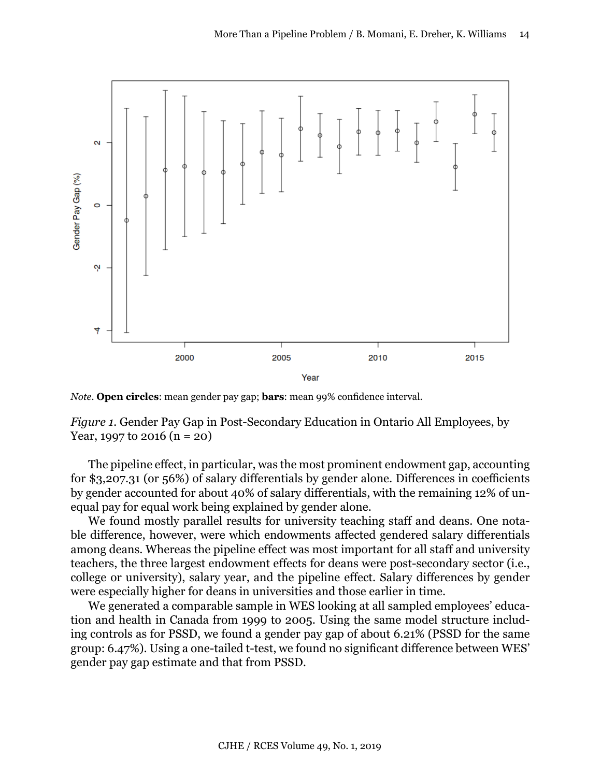

*Note*. **Open circles**: mean gender pay gap; **bars**: mean 99% confidence interval.

*Figure 1.* Gender Pay Gap in Post-Secondary Education in Ontario All Employees, by Year, 1997 to 2016 (n = 20)

The pipeline effect, in particular, was the most prominent endowment gap, accounting for \$3,207.31 (or 56%) of salary differentials by gender alone. Differences in coefficients by gender accounted for about 40% of salary differentials, with the remaining 12% of unequal pay for equal work being explained by gender alone.

We found mostly parallel results for university teaching staff and deans. One notable difference, however, were which endowments affected gendered salary differentials among deans. Whereas the pipeline effect was most important for all staff and university teachers, the three largest endowment effects for deans were post-secondary sector (i.e., college or university), salary year, and the pipeline effect. Salary differences by gender were especially higher for deans in universities and those earlier in time.

We generated a comparable sample in WES looking at all sampled employees' education and health in Canada from 1999 to 2005. Using the same model structure including controls as for PSSD, we found a gender pay gap of about 6.21% (PSSD for the same group: 6.47%). Using a one-tailed t-test, we found no significant difference between WES' gender pay gap estimate and that from PSSD.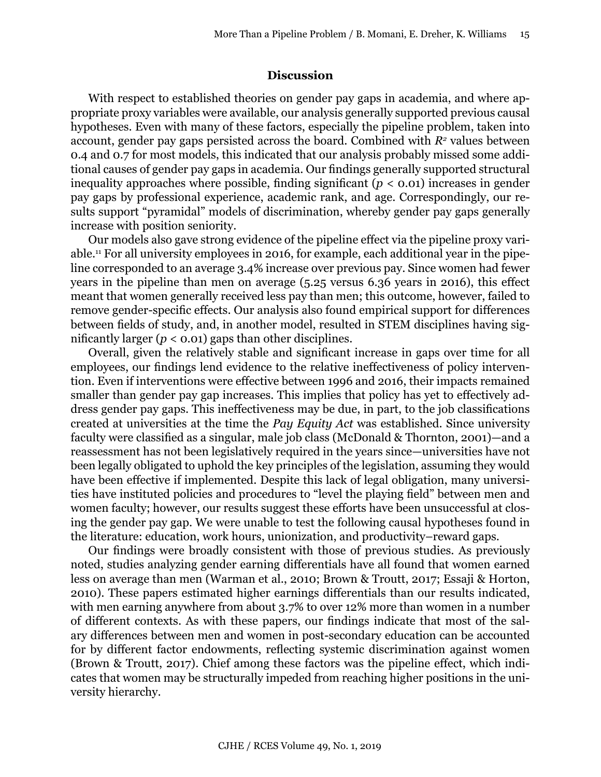#### **Discussion**

With respect to established theories on gender pay gaps in academia, and where appropriate proxy variables were available, our analysis generally supported previous causal hypotheses. Even with many of these factors, especially the pipeline problem, taken into account, gender pay gaps persisted across the board. Combined with  $R<sup>2</sup>$  values between 0.4 and 0.7 for most models, this indicated that our analysis probably missed some additional causes of gender pay gaps in academia. Our findings generally supported structural inequality approaches where possible, finding significant  $(p < 0.01)$  increases in gender pay gaps by professional experience, academic rank, and age. Correspondingly, our results support "pyramidal" models of discrimination, whereby gender pay gaps generally increase with position seniority.

Our models also gave strong evidence of the pipeline effect via the pipeline proxy variable.11 For all university employees in 2016, for example, each additional year in the pipeline corresponded to an average 3.4% increase over previous pay. Since women had fewer years in the pipeline than men on average (5.25 versus 6.36 years in 2016), this effect meant that women generally received less pay than men; this outcome, however, failed to remove gender-specific effects. Our analysis also found empirical support for differences between fields of study, and, in another model, resulted in STEM disciplines having significantly larger  $(p < 0.01)$  gaps than other disciplines.

Overall, given the relatively stable and significant increase in gaps over time for all employees, our findings lend evidence to the relative ineffectiveness of policy intervention. Even if interventions were effective between 1996 and 2016, their impacts remained smaller than gender pay gap increases. This implies that policy has yet to effectively address gender pay gaps. This ineffectiveness may be due, in part, to the job classifications created at universities at the time the *Pay Equity Act* was established. Since university faculty were classified as a singular, male job class (McDonald & Thornton, 2001)—and a reassessment has not been legislatively required in the years since—universities have not been legally obligated to uphold the key principles of the legislation, assuming they would have been effective if implemented. Despite this lack of legal obligation, many universities have instituted policies and procedures to "level the playing field" between men and women faculty; however, our results suggest these efforts have been unsuccessful at closing the gender pay gap. We were unable to test the following causal hypotheses found in the literature: education, work hours, unionization, and productivity–reward gaps.

Our findings were broadly consistent with those of previous studies. As previously noted, studies analyzing gender earning differentials have all found that women earned less on average than men (Warman et al., 2010; Brown & Troutt, 2017; Essaji & Horton, 2010). These papers estimated higher earnings differentials than our results indicated, with men earning anywhere from about 3.7% to over 12% more than women in a number of different contexts. As with these papers, our findings indicate that most of the salary differences between men and women in post-secondary education can be accounted for by different factor endowments, reflecting systemic discrimination against women (Brown & Troutt, 2017). Chief among these factors was the pipeline effect, which indicates that women may be structurally impeded from reaching higher positions in the university hierarchy.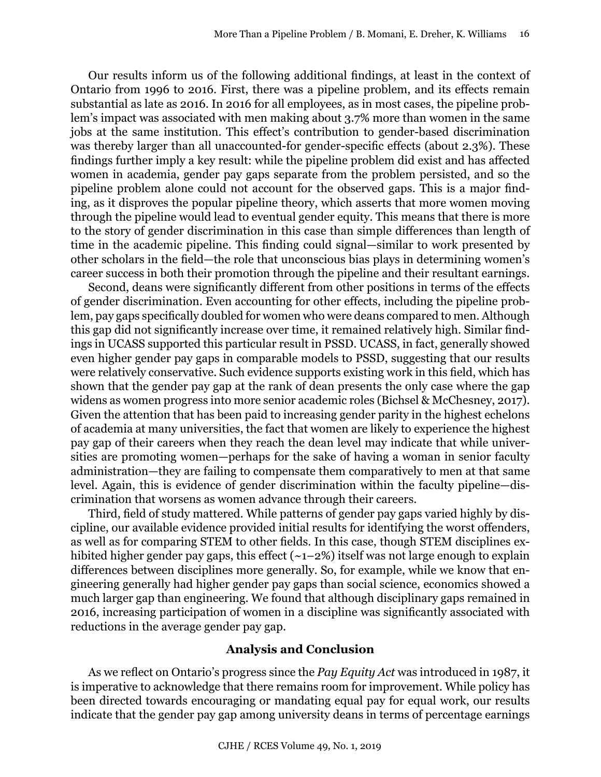Our results inform us of the following additional findings, at least in the context of Ontario from 1996 to 2016. First, there was a pipeline problem, and its effects remain substantial as late as 2016. In 2016 for all employees, as in most cases, the pipeline problem's impact was associated with men making about 3.7% more than women in the same jobs at the same institution. This effect's contribution to gender-based discrimination was thereby larger than all unaccounted-for gender-specific effects (about 2.3%). These findings further imply a key result: while the pipeline problem did exist and has affected women in academia, gender pay gaps separate from the problem persisted, and so the pipeline problem alone could not account for the observed gaps. This is a major finding, as it disproves the popular pipeline theory, which asserts that more women moving through the pipeline would lead to eventual gender equity. This means that there is more to the story of gender discrimination in this case than simple differences than length of time in the academic pipeline. This finding could signal—similar to work presented by other scholars in the field—the role that unconscious bias plays in determining women's career success in both their promotion through the pipeline and their resultant earnings.

Second, deans were significantly different from other positions in terms of the effects of gender discrimination. Even accounting for other effects, including the pipeline problem, pay gaps specifically doubled for women who were deans compared to men. Although this gap did not significantly increase over time, it remained relatively high. Similar findings in UCASS supported this particular result in PSSD. UCASS, in fact, generally showed even higher gender pay gaps in comparable models to PSSD, suggesting that our results were relatively conservative. Such evidence supports existing work in this field, which has shown that the gender pay gap at the rank of dean presents the only case where the gap widens as women progress into more senior academic roles (Bichsel & McChesney, 2017). Given the attention that has been paid to increasing gender parity in the highest echelons of academia at many universities, the fact that women are likely to experience the highest pay gap of their careers when they reach the dean level may indicate that while universities are promoting women—perhaps for the sake of having a woman in senior faculty administration—they are failing to compensate them comparatively to men at that same level. Again, this is evidence of gender discrimination within the faculty pipeline—discrimination that worsens as women advance through their careers.

Third, field of study mattered. While patterns of gender pay gaps varied highly by discipline, our available evidence provided initial results for identifying the worst offenders, as well as for comparing STEM to other fields. In this case, though STEM disciplines exhibited higher gender pay gaps, this effect  $(-1-2\%)$  itself was not large enough to explain differences between disciplines more generally. So, for example, while we know that engineering generally had higher gender pay gaps than social science, economics showed a much larger gap than engineering. We found that although disciplinary gaps remained in 2016, increasing participation of women in a discipline was significantly associated with reductions in the average gender pay gap.

#### **Analysis and Conclusion**

As we reflect on Ontario's progress since the *Pay Equity Act* was introduced in 1987, it is imperative to acknowledge that there remains room for improvement. While policy has been directed towards encouraging or mandating equal pay for equal work, our results indicate that the gender pay gap among university deans in terms of percentage earnings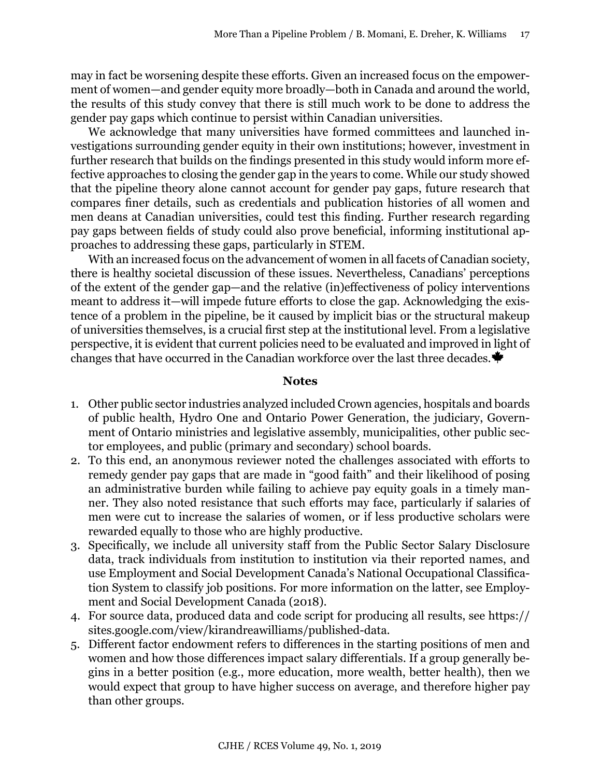may in fact be worsening despite these efforts. Given an increased focus on the empowerment of women—and gender equity more broadly—both in Canada and around the world, the results of this study convey that there is still much work to be done to address the gender pay gaps which continue to persist within Canadian universities.

We acknowledge that many universities have formed committees and launched investigations surrounding gender equity in their own institutions; however, investment in further research that builds on the findings presented in this study would inform more effective approaches to closing the gender gap in the years to come. While our study showed that the pipeline theory alone cannot account for gender pay gaps, future research that compares finer details, such as credentials and publication histories of all women and men deans at Canadian universities, could test this finding. Further research regarding pay gaps between fields of study could also prove beneficial, informing institutional approaches to addressing these gaps, particularly in STEM.

With an increased focus on the advancement of women in all facets of Canadian society, there is healthy societal discussion of these issues. Nevertheless, Canadians' perceptions of the extent of the gender gap—and the relative (in)effectiveness of policy interventions meant to address it—will impede future efforts to close the gap. Acknowledging the existence of a problem in the pipeline, be it caused by implicit bias or the structural makeup of universities themselves, is a crucial first step at the institutional level. From a legislative perspective, it is evident that current policies need to be evaluated and improved in light of changes that have occurred in the Canadian workforce over the last three decades.

#### **Notes**

- 1. Other public sector industries analyzed included Crown agencies, hospitals and boards of public health, Hydro One and Ontario Power Generation, the judiciary, Government of Ontario ministries and legislative assembly, municipalities, other public sector employees, and public (primary and secondary) school boards.
- 2. To this end, an anonymous reviewer noted the challenges associated with efforts to remedy gender pay gaps that are made in "good faith" and their likelihood of posing an administrative burden while failing to achieve pay equity goals in a timely manner. They also noted resistance that such efforts may face, particularly if salaries of men were cut to increase the salaries of women, or if less productive scholars were rewarded equally to those who are highly productive.
- 3. Specifically, we include all university staff from the Public Sector Salary Disclosure data, track individuals from institution to institution via their reported names, and use Employment and Social Development Canada's National Occupational Classification System to classify job positions. For more information on the latter, see Employment and Social Development Canada (2018).
- 4. For source data, produced data and code script for producing all results, see https:// sites.google.com/view/kirandreawilliams/published-data.
- 5. Different factor endowment refers to differences in the starting positions of men and women and how those differences impact salary differentials. If a group generally begins in a better position (e.g., more education, more wealth, better health), then we would expect that group to have higher success on average, and therefore higher pay than other groups.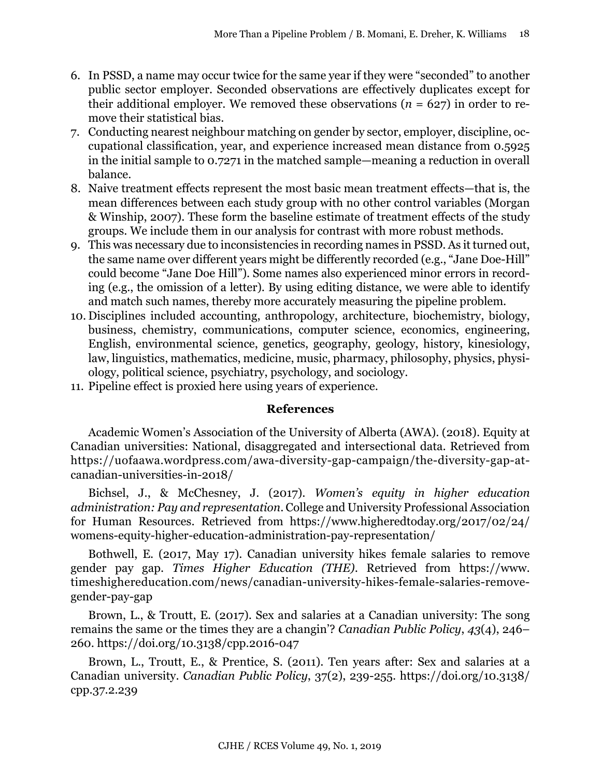- 6. In PSSD, a name may occur twice for the same year if they were "seconded" to another public sector employer. Seconded observations are effectively duplicates except for their additional employer. We removed these observations  $(n = 627)$  in order to remove their statistical bias.
- 7. Conducting nearest neighbour matching on gender by sector, employer, discipline, occupational classification, year, and experience increased mean distance from 0.5925 in the initial sample to 0.7271 in the matched sample—meaning a reduction in overall balance.
- 8. Naive treatment effects represent the most basic mean treatment effects—that is, the mean differences between each study group with no other control variables (Morgan & Winship, 2007). These form the baseline estimate of treatment effects of the study groups. We include them in our analysis for contrast with more robust methods.
- 9. This was necessary due to inconsistencies in recording names in PSSD. As it turned out, the same name over different years might be differently recorded (e.g., "Jane Doe-Hill" could become "Jane Doe Hill"). Some names also experienced minor errors in recording (e.g., the omission of a letter). By using editing distance, we were able to identify and match such names, thereby more accurately measuring the pipeline problem.
- 10. Disciplines included accounting, anthropology, architecture, biochemistry, biology, business, chemistry, communications, computer science, economics, engineering, English, environmental science, genetics, geography, geology, history, kinesiology, law, linguistics, mathematics, medicine, music, pharmacy, philosophy, physics, physiology, political science, psychiatry, psychology, and sociology.
- 11. Pipeline effect is proxied here using years of experience.

# **References**

Academic Women's Association of the University of Alberta (AWA). (2018). Equity at Canadian universities: National, disaggregated and intersectional data. Retrieved from [https://uofaawa.wordpress.com/awa-diversity-gap-campaign/the-diversity-gap-at](https://uofaawa.wordpress.com/awa-diversity-gap-campaign/the-diversity-gap-at-canadian-universities-in-2018/)[canadian-universities-in-2018/](https://uofaawa.wordpress.com/awa-diversity-gap-campaign/the-diversity-gap-at-canadian-universities-in-2018/)

Bichsel, J., & McChesney, J. (2017). *Women's equity in higher education administration: Pay and representation*. College and University Professional Association for Human Resources. Retrieved from [https://www.higheredtoday.org/2017/02/24/](https://www.higheredtoday.org/2017/02/24/womens-equity-higher-education-administration-pay-representation/) [womens-equity-higher-education-administration-pay-representation/](https://www.higheredtoday.org/2017/02/24/womens-equity-higher-education-administration-pay-representation/)

Bothwell, E. (2017, May 17). Canadian university hikes female salaries to remove gender pay gap. *Times Higher Education (THE)*. Retrieved from https://www. timeshighereducation.com/news/canadian-university-hikes-female-salaries-removegender-pay-gap

Brown, L., & Troutt, E. (2017). Sex and salaries at a Canadian university: The song remains the same or the times they are a changin'? *Canadian Public Policy*, *43*(4), 246– 260. https://doi.org/10.3138/cpp.2016-047

Brown, L., Troutt, E., & Prentice, S. (2011). Ten years after: Sex and salaries at a Canadian university. *Canadian Public Policy*, 37(2), 239-255. https://doi.org/10.3138/ cpp.37.2.239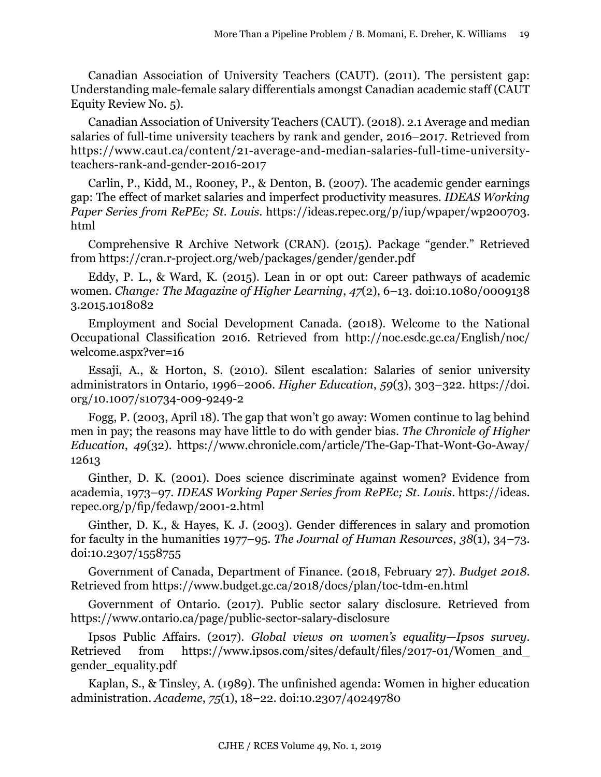Canadian Association of University Teachers (CAUT). (2011). The persistent gap: Understanding male-female salary differentials amongst Canadian academic staff (CAUT Equity Review No. 5).

Canadian Association of University Teachers (CAUT). (2018). 2.1 Average and median salaries of full-time university teachers by rank and gender, 2016–2017. Retrieved from [https://www.caut.ca/content/21-average-and-median-salaries-full-time-university](https://www.caut.ca/content/21-average-and-median-salaries-full-time-university-teachers-rank-and-gender-2016-2017)[teachers-rank-and-gender-2016-2017](https://www.caut.ca/content/21-average-and-median-salaries-full-time-university-teachers-rank-and-gender-2016-2017)

Carlin, P., Kidd, M., Rooney, P., & Denton, B. (2007). The academic gender earnings gap: The effect of market salaries and imperfect productivity measures. *IDEAS Working Paper Series from RePEc; St. Louis*. https://ideas.repec.org/p/iup/wpaper/wp200703. html

Comprehensive R Archive Network (CRAN). (2015). Package "gender." Retrieved from<https://cran.r-project.org/web/packages/gender/gender.pdf>

Eddy, P. L., & Ward, K. (2015). Lean in or opt out: Career pathways of academic women. *Change: The Magazine of Higher Learning*, *47*(2), 6–13. doi:10.1080/0009138 3.2015.1018082

Employment and Social Development Canada. (2018). Welcome to the National Occupational Classification 2016. Retrieved from [http://noc.esdc.gc.ca/English/noc/](http://noc.esdc.gc.ca/English/noc/welcome.aspx?ver=16) [welcome.aspx?ver=16](http://noc.esdc.gc.ca/English/noc/welcome.aspx?ver=16)

Essaji, A., & Horton, S. (2010). Silent escalation: Salaries of senior university administrators in Ontario, 1996–2006. *Higher Education*, *59*(3), 303–322. https://doi. org/10.1007/s10734-009-9249-2

Fogg, P. (2003, April 18). The gap that won't go away: Women continue to lag behind men in pay; the reasons may have little to do with gender bias. *The Chronicle of Higher Education*, *49*(32). https://www.chronicle.com/article/The-Gap-That-Wont-Go-Away/ 12613

Ginther, D. K. (2001). Does science discriminate against women? Evidence from academia, 1973–97. *IDEAS Working Paper Series from RePEc; St. Louis*. https://ideas. repec.org/p/fip/fedawp/2001-2.html

Ginther, D. K., & Hayes, K. J. (2003). Gender differences in salary and promotion for faculty in the humanities 1977–95. *The Journal of Human Resources*, *38*(1), 34–73. doi:10.2307/1558755

Government of Canada, Department of Finance. (2018, February 27). *Budget 2018*. Retrieved from <https://www.budget.gc.ca/2018/docs/plan/toc-tdm-en.html>

Government of Ontario. (2017). Public sector salary disclosure. Retrieved from <https://www.ontario.ca/page/public-sector-salary-disclosure>

Ipsos Public Affairs. (2017). *Global views on women's equality—Ipsos survey*. Retrieved from https://www.ipsos.com/sites/default/files/2017-01/Women and gender\_equality.pdf

Kaplan, S., & Tinsley, A. (1989). The unfinished agenda: Women in higher education administration. *Academe*, *75*(1), 18–22. doi:10.2307/40249780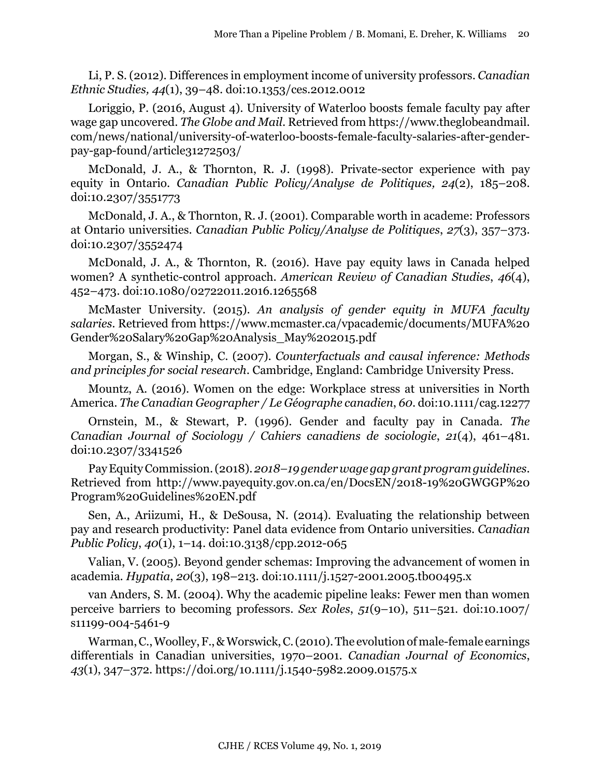Li, P. S. (2012). Differences in employment income of university professors. *Canadian Ethnic Studies, 44*(1), 39–48. doi:10.1353/ces.2012.0012

Loriggio, P. (2016, August 4). University of Waterloo boosts female faculty pay after wage gap uncovered. *The Globe and Mail*. Retrieved from https://www.theglobeandmail. com/news/national/university-of-waterloo-boosts-female-faculty-salaries-after-genderpay-gap-found/article31272503/

McDonald, J. A., & Thornton, R. J. (1998). Private-sector experience with pay equity in Ontario. *Canadian Public Policy/Analyse de Politiques, 24*(2), 185–208. doi:10.2307/3551773

McDonald, J. A., & Thornton, R. J. (2001). Comparable worth in academe: Professors at Ontario universities. *Canadian Public Policy/Analyse de Politiques*, *27*(3), 357–373. doi:10.2307/3552474

McDonald, J. A., & Thornton, R. (2016). Have pay equity laws in Canada helped women? A synthetic-control approach. *American Review of Canadian Studies*, *46*(4), 452–473. doi:10.1080/02722011.2016.1265568

McMaster University. (2015). *An analysis of gender equity in MUFA faculty salaries*. Retrieved from [https://www.mcmaster.ca/vpacademic/documents/MUFA%20](https://www.mcmaster.ca/vpacademic/documents/MUFA%20Gender%20Salary%20Gap%20Analysis_May%202015.pdf) [Gender%20Salary%20Gap%20Analysis\\_May%202015.pdf](https://www.mcmaster.ca/vpacademic/documents/MUFA%20Gender%20Salary%20Gap%20Analysis_May%202015.pdf)

Morgan, S., & Winship, C. (2007). *Counterfactuals and causal inference: Methods and principles for social research*. Cambridge, England: Cambridge University Press.

Mountz, A. (2016). Women on the edge: Workplace stress at universities in North America. *The Canadian Geographer / Le Géographe canadien*, *60*. doi:10.1111/cag.12277

Ornstein, M., & Stewart, P. (1996). Gender and faculty pay in Canada. *The Canadian Journal of Sociology / Cahiers canadiens de sociologie*, *21*(4), 461–481. doi:10.2307/3341526

Pay Equity Commission. (2018). *2018–19 gender wage gap grant program guidelines*. Retrieved from [http://www.payequity.gov.on.ca/en/DocsEN/2018-19%20GWGGP%20](http://www.payequity.gov.on.ca/en/DocsEN/2018-19%20GWGGP%20Program%20Guidelines%20EN.pdf) [Program%20Guidelines%20EN.pdf](http://www.payequity.gov.on.ca/en/DocsEN/2018-19%20GWGGP%20Program%20Guidelines%20EN.pdf)

Sen, A., Ariizumi, H., & DeSousa, N. (2014). Evaluating the relationship between pay and research productivity: Panel data evidence from Ontario universities. *Canadian Public Policy*, *40*(1), 1–14. doi:10.3138/cpp.2012-065

Valian, V. (2005). Beyond gender schemas: Improving the advancement of women in academia. *Hypatia*, *20*(3), 198–213. doi:10.1111/j.1527-2001.2005.tb00495.x

van Anders, S. M. (2004). Why the academic pipeline leaks: Fewer men than women perceive barriers to becoming professors. *Sex Roles*, *51*(9–10), 511–521. doi:10.1007/ s11199-004-5461-9

Warman, C., Woolley, F., & Worswick, C. (2010). The evolution of male-female earnings differentials in Canadian universities, 1970–2001. *Canadian Journal of Economics*, *43*(1), 347–372. https://doi.org/10.1111/j.1540-5982.2009.01575.x